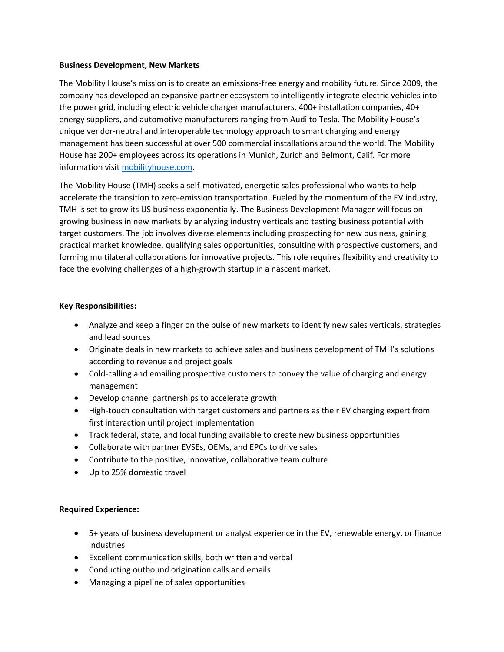## **Business Development, New Markets**

The Mobility House's mission is to create an emissions-free energy and mobility future. Since 2009, the company has developed an expansive partner ecosystem to intelligently integrate electric vehicles into the power grid, including electric vehicle charger manufacturers, 400+ installation companies, 40+ energy suppliers, and automotive manufacturers ranging from Audi to Tesla. The Mobility House's unique vendor-neutral and interoperable technology approach to smart charging and energy management has been successful at over 500 commercial installations around the world. The Mobility House has 200+ employees across its operations in Munich, Zurich and Belmont, Calif. For more information visit [mobilityhouse.com.](https://www.mobilityhouse.com/usa_en/)

The Mobility House (TMH) seeks a self-motivated, energetic sales professional who wants to help accelerate the transition to zero-emission transportation. Fueled by the momentum of the EV industry, TMH is set to grow its US business exponentially. The Business Development Manager will focus on growing business in new markets by analyzing industry verticals and testing business potential with target customers. The job involves diverse elements including prospecting for new business, gaining practical market knowledge, qualifying sales opportunities, consulting with prospective customers, and forming multilateral collaborations for innovative projects. This role requires flexibility and creativity to face the evolving challenges of a high-growth startup in a nascent market.

# **Key Responsibilities:**

- Analyze and keep a finger on the pulse of new markets to identify new sales verticals, strategies and lead sources
- Originate deals in new markets to achieve sales and business development of TMH's solutions according to revenue and project goals
- Cold-calling and emailing prospective customers to convey the value of charging and energy management
- Develop channel partnerships to accelerate growth
- High-touch consultation with target customers and partners as their EV charging expert from first interaction until project implementation
- Track federal, state, and local funding available to create new business opportunities
- Collaborate with partner EVSEs, OEMs, and EPCs to drive sales
- Contribute to the positive, innovative, collaborative team culture
- Up to 25% domestic travel

# **Required Experience:**

- 5+ years of business development or analyst experience in the EV, renewable energy, or finance industries
- Excellent communication skills, both written and verbal
- Conducting outbound origination calls and emails
- Managing a pipeline of sales opportunities